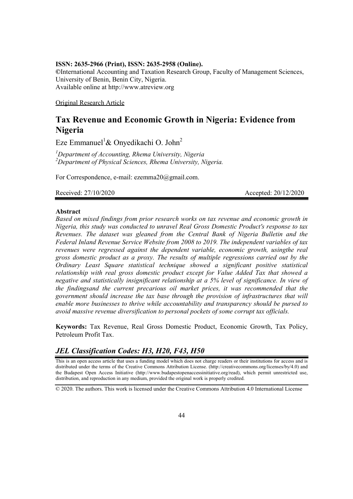#### **ISSN: 2635-2966 (Print), ISSN: 2635-2958 (Online).**

**©**International Accounting and Taxation Research Group, Faculty of Management Sciences, University of Benin, Benin City, Nigeria. Available online at http://www.atreview.org

Original Research Article

# **Tax Revenue and Economic Growth in Nigeria: Evidence from Nigeria**

Eze Emmanuel<sup>1</sup>& Onyedikachi O. John<sup>2</sup>

*1 Department of Accounting, Rhema University, Nigeria 2 Department of Physical Sciences, Rhema University, Nigeria.*

For Correspondence, e-mail: ezemma20@gmail.com.

Received: 27/10/2020 Accepted: 20/12/2020

#### **Abstract**

*Based on mixed findings from prior research works on tax revenue and economic growth in Nigeria, this study was conducted to unravel Real Gross Domestic Product's response to tax Revenues. The dataset was gleaned from the Central Bank of Nigeria Bulletin and the Federal Inland Revenue Service Website from 2008 to 2019. The independent variables of tax revenues were regressed against the dependent variable, economic growth, usingthe real gross domestic product as a proxy. The results of multiple regressions carried out by the Ordinary Least Square statistical technique showed a significant positive statistical relationship with real gross domestic product except for Value Added Tax that showed a negative and statistically insignificant relationship at a 5% level of significance. In view of the findingsand the current precarious oil market prices, it was recommended that the government should increase the tax base through the provision of infrastructures that will enable more businesses to thrive while accountability and transparency should be pursed to avoid massive revenue diversification to personal pockets of some corrupt tax officials.*

**Keywords:** Tax Revenue, Real Gross Domestic Product, Economic Growth, Tax Policy, Petroleum Profit Tax.

## *JEL Classification Codes: H3, H20, F43, H50*

This is an open access article that uses a funding model which does not charge readers or their institutions for access and is distributed under the terms of the Creative Commons Attribution License. (http://creativecommons.org/licenses/by/4.0) and the Budapest Open Access Initiative (http://www.budapestopenaccessinitiative.org/read), which permit unrestricted use, distribution, and reproduction in any medium, provided the original work is properly credited.

© 2020. The authors. This work is licensed under the Creative Commons Attribution 4.0 International License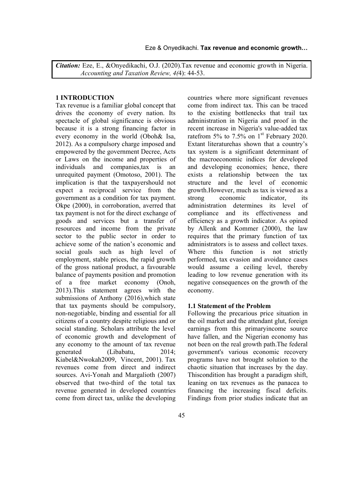*Citation:* Eze, E., &Onyedikachi, O.J. (2020).Tax revenue and economic growth in Nigeria. *Accounting and Taxation Review, 4(*4): 44-53.

#### **1 INTRODUCTION**

Tax revenue is a familiar global concept that drives the economy of every nation. Its spectacle of global significance is obvious because it is a strong financing factor in every economy in the world (Oboh& Isa, 2012). As a compulsory charge imposed and empowered by the government Decree, Acts or Laws on the income and properties of individuals and companies,tax is an unrequited payment (Omotoso, 2001). The implication is that the taxpayershould not expect a reciprocal service from the government as a condition for tax payment. Okpe (2000), in corroboration, averred that tax payment is not for the direct exchange of goods and services but a transfer of resources and income from the private sector to the public sector in order to achieve some of the nation's economic and social goals such as high level of employment, stable prices, the rapid growth of the gross national product, a favourable balance of payments position and promotion of a free market economy (Onoh, 2013).This statement agrees with the submissions of Anthony (2016),which state that tax payments should be compulsory, non-negotiable, binding and essential for all citizens of a country despite religious and or social standing. Scholars attribute the level of economic growth and development of any economy to the amount of tax revenue generated (Libabatu, 2014; Kiabel&Nwokah2009, Vincent, 2001). Tax revenues come from direct and indirect sources. Avi-Yonah and Margalioth (2007) observed that two-third of the total tax revenue generated in developed countries come from direct tax, unlike the developing

countries where more significant revenues come from indirect tax. This can be traced to the existing bottlenecks that trail tax administration in Nigeria and proof in the recent increase in Nigeria's value-added tax ratefrom 5% to 7.5% on  $1<sup>st</sup>$  February 2020. Extant literaturehas shown that a country's tax system is a significant determinant of the macroeconomic indices for developed and developing economies; hence, there exists a relationship between the tax structure and the level of economic growth.However, much as tax is viewed as a strong economic indicator, its administration determines its level of compliance and its effectiveness and efficiency as a growth indicator. As opined by Allenk and Kommer (2000), the law requires that the primary function of tax administrators is to assess and collect taxes. Where this function is not strictly performed, tax evasion and avoidance cases would assume a ceiling level, thereby leading to low revenue generation with its negative consequences on the growth of the economy.

#### **1.1 Statement of the Problem**

Following the precarious price situation in the oil market and the attendant glut, foreign earnings from this primaryincome source have fallen, and the Nigerian economy has not been on the real growth path.The federal government's various economic recovery programs have not brought solution to the chaotic situation that increases by the day. Thiscondition has brought a paradigm shift, leaning on tax revenues as the panacea to financing the increasing fiscal deficits. Findings from prior studies indicate that an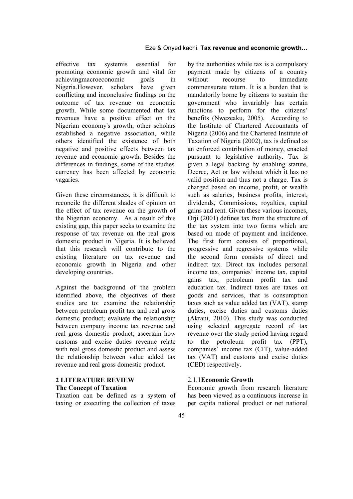effective tax systemis essential for promoting economic growth and vital for achievingmacroeconomic goals in Nigeria.However, scholars have given conflicting and inconclusive findings on the outcome of tax revenue on economic growth. While some documented that tax revenues have a positive effect on the Nigerian economy's growth, other scholars established a negative association, while others identified the existence of both negative and positive effects between tax revenue and economic growth. Besides the differences in findings, some of the studies' currency has been affected by economic vagaries.

Given these circumstances, it is difficult to reconcile the different shades of opinion on the effect of tax revenue on the growth of the Nigerian economy. As a result of this existing gap, this paper seeks to examine the response of tax revenue on the real gross domestic product in Nigeria. It is believed that this research will contribute to the existing literature on tax revenue and economic growth in Nigeria and other developing countries.

Against the background of the problem identified above, the objectives of these studies are to: examine the relationship between petroleum profit tax and real gross domestic product; evaluate the relationship between company income tax revenue and real gross domestic product; ascertain how customs and excise duties revenue relate with real gross domestic product and assess the relationship between value added tax revenue and real gross domestic product.

## **2 LITERATURE REVIEW The Concept of Taxation**

Taxation can be defined as a system of taxing or executing the collection of taxes by the authorities while tax is a compulsory payment made by citizens of a country without recourse to immediate commensurate return. It is a burden that is mandatorily borne by citizens to sustain the government who invariably has certain functions to perform for the citizens' benefits (Nwezeaku, 2005). According to the Institute of Chartered Accountants of Nigeria (2006) and the Chartered Institute of Taxation of Nigeria (2002), tax is defined as an enforced contribution of money, enacted pursuant to legislative authority. Tax is given a legal backing by enabling statute, Decree, Act or law without which it has no valid position and thus not a charge. Tax is charged based on income, profit, or wealth such as salaries, business profits, interest, dividends, Commissions, royalties, capital gains and rent. Given these various incomes, Orji (2001) defines tax from the structure of the tax system into two forms which are based on mode of payment and incidence. The first form consists of proportional, progressive and regressive systems while the second form consists of direct and indirect tax. Direct tax includes personal income tax, companies' income tax, capital gains tax, petroleum profit tax and education tax. Indirect taxes are taxes on goods and services, that is consumption taxes such as value added tax (VAT), stamp duties, excise duties and customs duties (Akrani, 2010). This study was conducted using selected aggregate record of tax revenue over the study period having regard to the petroleum profit tax (PPT), companies' income tax (CIT), value-added tax (VAT) and customs and excise duties (CED) respectively.

#### 2.1.1**Economic Growth**

Economic growth from research literature has been viewed as a continuous increase in per capita national product or net national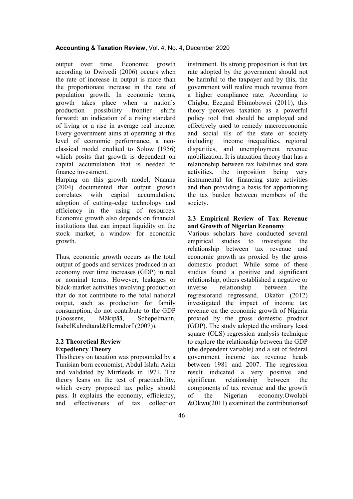#### **Accounting & Taxation Review,** Vol. 4, No. 4, December 2020

output over time. Economic growth according to Dwivedi (2006) occurs when the rate of increase in output is more than the proportionate increase in the rate of population growth. In economic terms, growth takes place when a nation's production possibility frontier shifts forward; an indication of a rising standard of living or a rise in average real income. Every government aims at operating at this level of economic performance, a neoclassical model credited to Solow (1956) which posits that growth is dependent on capital accumulation that is needed to finance investment.

Harping on this growth model, Nnanna (2004) documented that output growth correlates with capital accumulation, adoption of cutting–edge technology and efficiency in the using of resources. Economic growth also depends on financial institutions that can impact liquidity on the stock market, a window for economic growth.

Thus, economic growth occurs as the total output of goods and services produced in an economy over time increases (GDP) in real or nominal terms. However, leakages or black-market activities involving production that do not contribute to the total national output, such as production for family consumption, do not contribute to the GDP (Goossens, Mäkipää, Schepelmann, IsabelKuhndtand&Herrndorf (2007)).

### **2.2 Theoretical Review Expediency Theory**

Thistheory on taxation was propounded by a Tunisian born economist, Abdul Islahi Azim and validated by Mirrleeds in 1971. The theory leans on the test of practicability, which every proposed tax policy should pass. It explains the economy, efficiency,<br>and effectiveness of tax collection and effectiveness of tax collection instrument. Its strong proposition is that tax rate adopted by the government should not be harmful to the taxpayer and by this, the government will realize much revenue from a higher compliance rate. According to Chigbu, Eze,and Ebimobowei (2011), this theory perceives taxation as a powerful policy tool that should be employed and effectively used to remedy macroeconomic and social ills of the state or society including income inequalities, regional disparities, and unemployment revenue mobilization. It is ataxation theory that has a relationship between tax liabilities and state activities, the imposition being very instrumental for financing state activities and then providing a basis for apportioning the tax burden between members of the society.

#### **2.3 Empirical Review of Tax Revenue and Growth of Nigerian Economy**

Various scholars have conducted several empirical studies to investigate the relationship between tax revenue and economic growth as proxied by the gross domestic product. While some of these studies found a positive and significant relationship, others established a negative or inverse relationship between the regressorand regressand. Okafor (2012) investigated the impact of income tax revenue on the economic growth of Nigeria proxied by the gross domestic product (GDP). The study adopted the ordinary least square (OLS) regression analysis technique to explore the relationship between the GDP (the dependent variable) and a set of federal government income tax revenue heads between 1981 and 2007. The regression result indicated a very positive and significant relationship between the components of tax revenue and the growth of the Nigerian economy.Owolabi &Okwu(2011) examined the contributionsof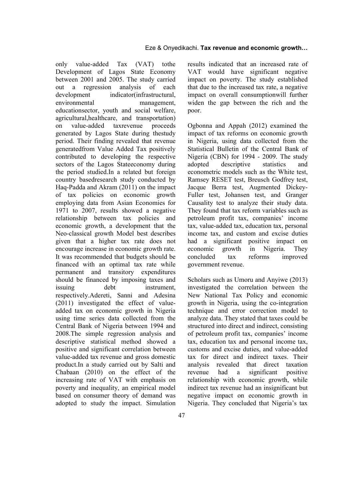only value-added Tax (VAT) tothe Development of Lagos State Economy between 2001 and 2005. The study carried out a regression analysis of each development indicator(infrastructural, environmental management, educationsector, youth and social welfare, agricultural,healthcare, and transportation) on value-added taxrevenue proceeds generated by Lagos State during thestudy period. Their finding revealed that revenue generatedfrom Value Added Tax positively contributed to developing the respective sectors of the Lagos Stateeconomy during the period studied.In a related but foreign country basedresearch study conducted by Haq-Padda and Akram (2011) on the impact of tax policies on economic growth employing data from Asian Economies for 1971 to 2007, results showed a negative relationship between tax policies and economic growth, a development that the Neo-classical growth Model best describes given that a higher tax rate does not encourage increase in economic growth rate. It was recommended that budgets should be financed with an optimal tax rate while permanent and transitory expenditures should be financed by imposing taxes and issuing debt instrument. respectively.Adereti, Sanni and Adesina (2011) investigated the effect of valueadded tax on economic growth in Nigeria using time series data collected from the Central Bank of Nigeria between 1994 and 2008.The simple regression analysis and descriptive statistical method showed a positive and significant correlation between value-added tax revenue and gross domestic product.In a study carried out by Salti and Chabaan (2010) on the effect of the increasing rate of VAT with emphasis on poverty and inequality, an empirical model based on consumer theory of demand was adopted to study the impact. Simulation

results indicated that an increased rate of VAT would have significant negative impact on poverty. The study established that due to the increased tax rate, a negative impact on overall consumptionwill further widen the gap between the rich and the poor.

Ogbonna and Appah (2012) examined the impact of tax reforms on economic growth in Nigeria, using data collected from the Statistical Bulletin of the Central Bank of Nigeria (CBN) for 1994 - 2009. The study adopted descriptive statistics and econometric models such as the White test, Ramsey RESET test, Breusch Godfrey test, Jacque Berra test, Augmented Dickey-Fuller test, Johansen test, and Granger Causality test to analyze their study data. They found that tax reform variables such as petroleum profit tax, companies' income tax, value-added tax, education tax, personal income tax, and custom and excise duties had a significant positive impact on economic growth in Nigeria. They concluded tax reforms improved government revenue.

Scholars such as Umoru and Anyiwe (2013) investigated the correlation between the New National Tax Policy and economic growth in Nigeria, using the co-integration technique and error correction model to analyze data. They stated that taxes could be structured into direct and indirect, consisting of petroleum profit tax, companies' income tax, education tax and personal income tax, customs and excise duties, and value-added tax for direct and indirect taxes. Their analysis revealed that direct taxation revenue had a significant positive relationship with economic growth, while indirect tax revenue had an insignificant but negative impact on economic growth in Nigeria. They concluded that Nigeria's tax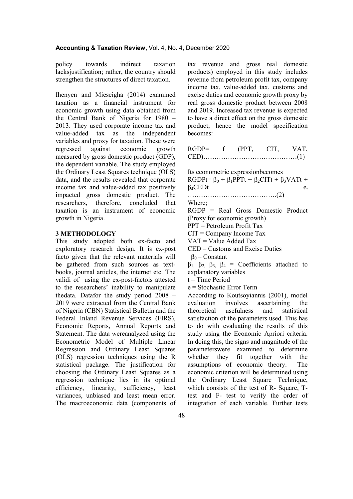policy towards indirect taxation lacksjustification; rather, the country should strengthen the structures of direct taxation.

Ihenyen and Mieseigha (2014) examined taxation as a financial instrument for economic growth using data obtained from the Central Bank of Nigeria for 1980 – 2013. They used corporate income tax and value-added tax as the independent variables and proxy for taxation. These were regressed against economic growth measured by gross domestic product (GDP), the dependent variable. The study employed the Ordinary Least Squares technique (OLS) data, and the results revealed that corporate income tax and value-added tax positively impacted gross domestic product. The researchers, therefore, concluded that taxation is an instrument of economic growth in Nigeria.

#### **3 METHODOLOGY**

This study adopted both ex-facto and exploratory research design. It is ex-post facto given that the relevant materials will be gathered from such sources as textbooks, journal articles, the internet etc. The validi of using the ex-post-factois attested to the researchers' inability to manipulate thedata. Datafor the study period 2008 – 2019 were extracted from the Central Bank of Nigeria (CBN) Statistical Bulletin and the Federal Inland Revenue Services (FIRS), Economic Reports, Annual Reports and Statement. The data wereanalyzed using the Econometric Model of Multiple Linear Regression and Ordinary Least Squares (OLS) regression techniques using the R statistical package. The justification for choosing the Ordinary Least Squares as a regression technique lies in its optimal efficiency, linearity, sufficiency, least variances, unbiased and least mean error. The macroeconomic data (components of tax revenue and gross real domestic products) employed in this study includes revenue from petroleum profit tax, company income tax, value-added tax, customs and excise duties and economic growth proxy by real gross domestic product between 2008 and 2019. Increased tax revenue is expected to have a direct effect on the gross domestic product; hence the model specification becomes:

| $RGDP=$ | (PPT | CTT | VAT. |
|---------|------|-----|------|
| CED)    |      |     |      |

Its econometric expressionbecomes

RGDPt=  $\beta_0$  +  $\beta_1$ PPTt +  $\beta_2$ CITt +  $\beta_3$ VATt +  $\beta_4$ CEDt +  $e_t$ 

………………………………….(2)

Where;

RGDP = Real Gross Domestic Product (Proxy for economic growth)

PPT = Petroleum Profit Tax

 $CIT = Company$  Income Tax

 $VAT = Value$  Added Tax

CED = Customs and Excise Duties

 $\beta_0$  = Constant

 $β_1$ ,  $β_2$ ,  $β_3$ ,  $β_4$  = Coefficients attached to explanatory variables

 $t =$ Time Period

e = Stochastic Error Term

According to Koutsoyiannis (2001), model evaluation involves ascertaining the theoretical usefulness and statistical satisfaction of the parameters used. This has to do with evaluating the results of this study using the Economic Apriori criteria. In doing this, the signs and magnitude of the parameterswere examined to determine whether they fit together with the assumptions of economic theory. The economic criterion will be determined using the Ordinary Least Square Technique, which consists of the test of R- Square, Ttest and F- test to verify the order of integration of each variable. Further tests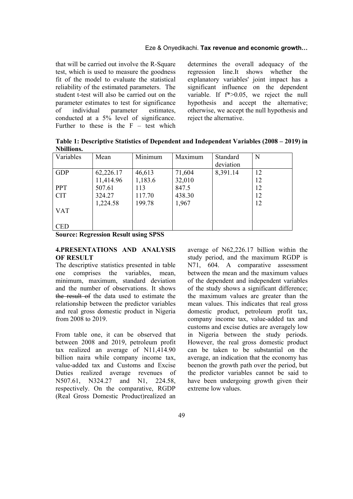#### Eze & Onyedikachi. **Tax revenue and economic growth…**

that will be carried out involve the R-Square test, which is used to measure the goodness fit of the model to evaluate the statistical reliability of the estimated parameters. The student t-test will also be carried out on the parameter estimates to test for significance of individual parameter estimates, conducted at a 5% level of significance. Further to these is the  $F - test$  which determines the overall adequacy of the regression line.It shows whether the explanatory variables' joint impact has a significant influence on the dependent variable. If f\*>0.05, we reject the null hypothesis and accept the alternative; otherwise, we accept the null hypothesis and reject the alternative.

**Table 1: Descriptive Statistics of Dependent and Independent Variables (2008 – 2019) in Nbillions.**

| Variables  | Mean      | Minimum | Maximum | Standard  | N  |
|------------|-----------|---------|---------|-----------|----|
|            |           |         |         | deviation |    |
| <b>GDP</b> | 62,226.17 | 46,613  | 71,604  | 8,391.14  | 12 |
|            | 11,414.96 | 1,183.6 | 32,010  |           | 12 |
| <b>PPT</b> | 507.61    | 113     | 847.5   |           | 12 |
| <b>CIT</b> | 324.27    | 117.70  | 438.30  |           | 12 |
|            | 1,224.58  | 199.78  | 1,967   |           | 12 |
| <b>VAT</b> |           |         |         |           |    |
|            |           |         |         |           |    |
| <b>CED</b> |           |         |         |           |    |

**Source: Regression Result using SPSS**

#### **4.PRESENTATIONS AND ANALYSIS OF RESULT**

The descriptive statistics presented in table one comprises the variables, mean, minimum, maximum, standard deviation and the number of observations. It shows the result of the data used to estimate the relationship between the predictor variables and real gross domestic product in Nigeria from 2008 to 2019.

From table one, it can be observed that between 2008 and 2019, petroleum profit tax realized an average of N11,414.90 billion naira while company income tax, value-added tax and Customs and Excise Duties realized average revenues of N507.61, N324.27 and N1, 224.58, respectively. On the comparative, RGDP (Real Gross Domestic Product)realized an average of N62,226.17 billion within the study period, and the maximum RGDP is N71, 604. A comparative assessment between the mean and the maximum values of the dependent and independent variables of the study shows a significant difference; the maximum values are greater than the mean values. This indicates that real gross domestic product, petroleum profit tax, company income tax, value-added tax and customs and excise duties are averagely low in Nigeria between the study periods. However, the real gross domestic product can be taken to be substantial on the average, an indication that the economy has beenon the growth path over the period, but the predictor variables cannot be said to have been undergoing growth given their extreme low values.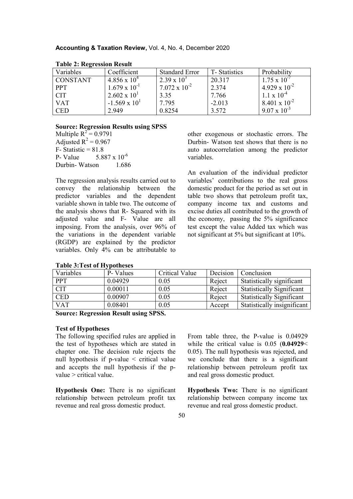| Variables       | Coefficient            | <b>Standard Error</b>  | T-Statistics | Probability            |
|-----------------|------------------------|------------------------|--------------|------------------------|
| <b>CONSTANT</b> | $4.856 \times 10^4$    | $2.39 \times 10^3$     | 20.317       | $1.75 \times 10^{-7}$  |
| <b>PPT</b>      | $1.679 \times 10^{-1}$ | $7.072 \times 10^{-2}$ | 2.374        | $4.929 \times 10^{-2}$ |
| <b>CIT</b>      | $2.602 \times 10^{1}$  | 3.35                   | 7.766        | $1.1 \times 10^{-4}$   |
| <b>VAT</b>      | $-1.569 \times 10^{1}$ | 7.795                  | $-2.013$     | 8.401 x $10^{-2}$      |
| <b>CED</b>      | 2.949                  | 0.8254                 | 3.572        | $9.07 \times 10^{-3}$  |

#### **Table 2: Regression Result**

#### **Source: Regression Results using SPSS**

Multiple  $R^2 = 0.9791$ Adjusted  $R^2 = 0.967$  $F-$  Statistic = 81.8 P- Value  $5.887 \times 10^{-6}$ Durbin- Watson 1.686

The regression analysis results carried out to convey the relationship between the predictor variables and the dependent variable shown in table two. The outcome of the analysis shows that R- Squared with its adjusted value and F- Value are all imposing. From the analysis, over 96% of the variations in the dependent variable (RGDP) are explained by the predictor variables. Only 4% can be attributable to

|  |  | <b>Table 3: Test of Hypotheses</b> |
|--|--|------------------------------------|
|--|--|------------------------------------|

other exogenous or stochastic errors. The Durbin- Watson test shows that there is no auto autocorrelation among the predictor variables.

An evaluation of the individual predictor variables' contributions to the real gross domestic product for the period as set out in table two shows that petroleum profit tax, company income tax and customs and excise duties all contributed to the growth of the economy, passing the 5% significance test except the value Added tax which was not significant at 5% but significant at 10%.

| Table 9: I cat of Hypotheses |          |                       |          |                                  |
|------------------------------|----------|-----------------------|----------|----------------------------------|
| Variables                    | P-Values | <b>Critical Value</b> | Decision | Conclusion                       |
| <b>PPT</b>                   | 0.04929  | 0.05                  | Reject   | Statistically significant        |
| <b>CIT</b>                   | 0.00011  | 0.05                  | Reject   | <b>Statistically Significant</b> |
| <b>CED</b>                   | 0.00907  | 0.05                  | Reject   | <b>Statistically Significant</b> |
| <b>VAT</b>                   | 0.08401  | 0.05                  | Accept   | Statistically insignificant      |

**Source: Regression Result using SPSS.**

#### **Test of Hypotheses**

The following specified rules are applied in the test of hypotheses which are stated in chapter one. The decision rule rejects the null hypothesis if  $p$ -value  $\le$  critical value and accepts the null hypothesis if the pvalue > critical value.

**Hypothesis One:** There is no significant relationship between petroleum profit tax revenue and real gross domestic product.

From table three, the P-value is 0.04929 while the critical value is 0.05 (**0.04929**< 0.05). The null hypothesis was rejected, and we conclude that there is a significant relationship between petroleum profit tax and real gross domestic product.

**Hypothesis Two:** There is no significant relationship between company income tax revenue and real gross domestic product.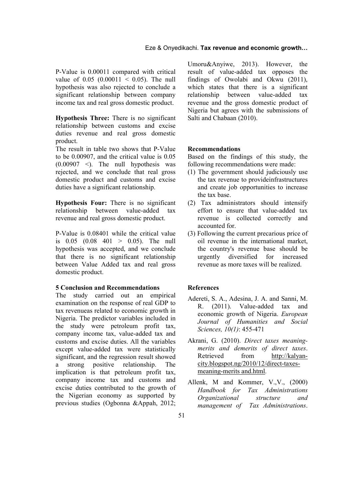P-Value is 0.00011 compared with critical value of  $0.05$   $(0.00011 \le 0.05)$ . The null hypothesis was also rejected to conclude a significant relationship between company income tax and real gross domestic product.

**Hypothesis Three:** There is no significant relationship between customs and excise duties revenue and real gross domestic product.

The result in table two shows that P-Value to be 0.00907, and the critical value is 0.05  $(0.00907 \le)$ . The null hypothesis was rejected, and we conclude that real gross domestic product and customs and excise duties have a significant relationship.

**Hypothesis Four:** There is no significant relationship between value-added tax revenue and real gross domestic product.

P-Value is 0.08401 while the critical value is 0.05 (0.08 401 > 0.05). The null hypothesis was accepted, and we conclude that there is no significant relationship between Value Added tax and real gross domestic product.

#### **5 Conclusion and Recommendations**

The study carried out an empirical examination on the response of real GDP to tax revenueas related to economic growth in Nigeria. The predictor variables included in the study were petroleum profit tax, company income tax, value-added tax and customs and excise duties. All the variables except value-added tax were statistically significant, and the regression result showed a strong positive relationship. The implication is that petroleum profit tax, company income tax and customs and excise duties contributed to the growth of the Nigerian economy as supported by previous studies (Ogbonna &Appah, 2012; Umoru&Anyiwe, 2013). However, the result of value-added tax opposes the findings of Owolabi and Okwu (2011), which states that there is a significant relationship between value-added tax revenue and the gross domestic product of Nigeria but agrees with the submissions of Salti and Chabaan (2010).

#### **Recommendations**

Based on the findings of this study, the following recommendations were made:

- (1) The government should judiciously use the tax revenue to provideinfrastructures and create job opportunities to increase the tax base.
- (2) Tax administrators should intensify effort to ensure that value-added tax revenue is collected correctly and accounted for.
- (3) Following the current precarious price of oil revenue in the international market, the country's revenue base should be urgently diversified for increased revenue as more taxes will be realized.

### **References**

- Adereti, S. A., Adesina, J. A. and Sanni, M. R. (2011). Value-added tax and economic growth of Nigeria. *European Journal of Humanities and Social Sciences, 10(1)*: 455-471
- Akrani, G. (2010). *Direct taxes meaningmerits and demerits of direct taxes*. Retrieved from http://kalyancity.blogspot.ng/2010/12/direct-taxesmeaning-merits and.html.
- Allenk, M and Kommer, [V.,V., \(2000\)](http://kalyan-city.blogspot.ng/2010/12/direct-taxes-meaning-merits and.html)  *[Handbook for Tax Administratio](http://kalyan-city.blogspot.ng/2010/12/direct-taxes-meaning-merits and.html)ns [Organizational stru](http://kalyan-city.blogspot.ng/2010/12/direct-taxes-meaning-merits and.html)cture and management of Tax Administrations*.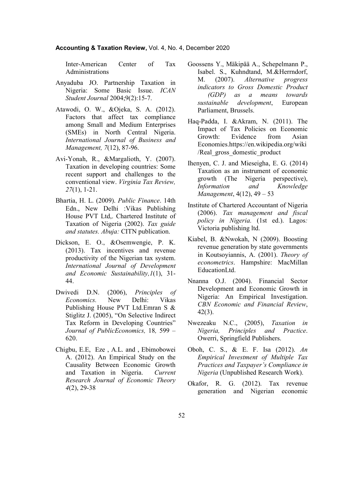#### **Accounting & Taxation Review,** Vol. 4, No. 4, December 2020

Inter-American Center of Tax Administrations

- Anyaduba JO. Partnership Taxation in Nigeria: Some Basic Issue. *ICAN Student Journal* 2004;9(2):15-7.
- Atawodi, O. W., &Ojeka, S. A. (2012). Factors that affect tax compliance among Small and Medium Enterprises (SMEs) in North Central Nigeria. *International Journal of Business and Management, 7*(12), 87-96.
- Avi-Yonah, R., &Margalioth, Y. (2007). Taxation in developing countries: Some recent support and challenges to the conventional view. *Virginia Tax Review, 27*(1), 1-21.
- Bhartia, H. L. (2009). *Public Finance*. 14th Edn., New Delhi :Vikas Publishing House PVT Ltd,. Chartered Institute of Taxation of Nigeria (2002). *Tax guide and statutes. Abuja:* CITN publication.
- Dickson, E. O., &Osemwengie, P. K. (2013). Tax incentives and revenue productivity of the Nigerian tax system. *International Journal of Development and Economic Sustainability,1*(1), 31- 44.
- Dwivedi D.N. (2006), *Principles of Economics.* New Delhi: Vikas Publishing House PVT Ltd.Emran S & Stiglitz J. (2005), "On Selective Indirect Tax Reform in Developing Countries" *Journal of PublicEconomics,* 18*,* 599 – 620.
- Chigbu, E.E, Eze , A.L. and , Ebimobowei A. (2012). An Empirical Study on the Causality Between Economic Growth and Taxation in Nigeria. *Current Research Journal of Economic Theory 4*(2), 29-38
- Goossens Y., Mäkipää A., Schepelmann P., Isabel. S., Kuhndtand, M.&Herrndorf, M. (2007). *Alternative progress indicators to Gross Domestic Product (GDP) as a means towards sustainable development*, European Parliament, Brussels.
- Haq-Padda, I. &Akram, N. (2011). The Impact of Tax Policies on Economic Growth: Evidence from Asian Economies.https://en.wikipedia.org/wiki /Real\_gross\_domestic\_product
- Ihenyen, C. J. and Mieseigha, E. G. (2014) Taxation as an instrument of economic growth (The Nigeria perspective), *Information and Knowledge Management*, 4(12), 49 – 53
- Institute of Chartered Accountant of Nigeria (2006). *Tax management and fiscal policy in Nigeria.* (1st ed.). Lagos*:*  Victoria publishing ltd.
- Kiabel, B. &Nwokah, N (2009). Boosting revenue generation by state governments in Koutsoyiannis, A. (2001). *Theory of econometrics*. Hampshire: MacMillan EducationLtd.
- Nnanna O.J. (2004). Financial Sector Development and Economic Growth in Nigeria: An Empirical Investigation. *CBN Economic and Financial Review*, 42(3).
- Nwezeaku N.C., (2005), *Taxation in Nigeria, Principles and Practice*. Owerri, Springfield Publishers.
- Oboh, C. S., & E. F. Isa (2012). *An Empirical Investment of Multiple Tax Practices and Taxpayer's Compliance in Nigeria* (Unpublished Research Work).
- Okafor, R. G. (2012). Tax revenue generation and Nigerian economic